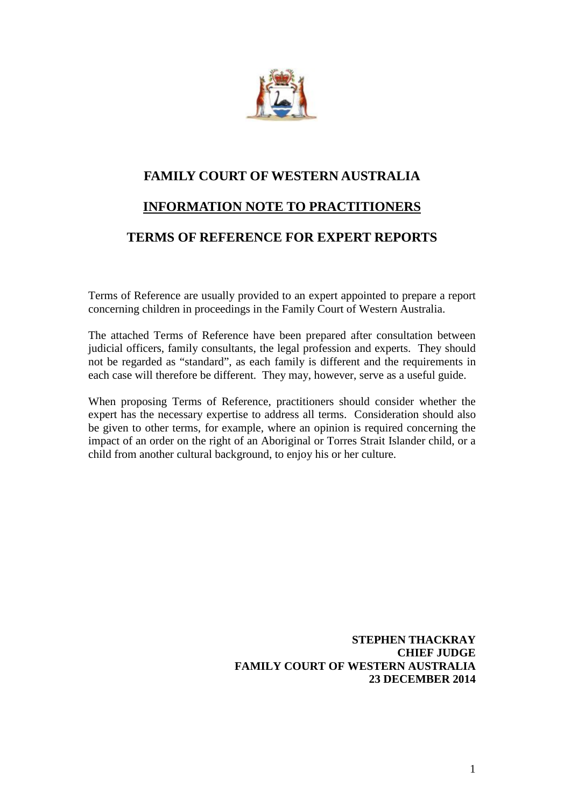

## **FAMILY COURT OF WESTERN AUSTRALIA**

## **INFORMATION NOTE TO PRACTITIONERS**

## **TERMS OF REFERENCE FOR EXPERT REPORTS**

Terms of Reference are usually provided to an expert appointed to prepare a report concerning children in proceedings in the Family Court of Western Australia.

The attached Terms of Reference have been prepared after consultation between judicial officers, family consultants, the legal profession and experts. They should not be regarded as "standard", as each family is different and the requirements in each case will therefore be different. They may, however, serve as a useful guide.

When proposing Terms of Reference, practitioners should consider whether the expert has the necessary expertise to address all terms. Consideration should also be given to other terms, for example, where an opinion is required concerning the impact of an order on the right of an Aboriginal or Torres Strait Islander child, or a child from another cultural background, to enjoy his or her culture.

> **STEPHEN THACKRAY CHIEF JUDGE FAMILY COURT OF WESTERN AUSTRALIA 23 DECEMBER 2014**